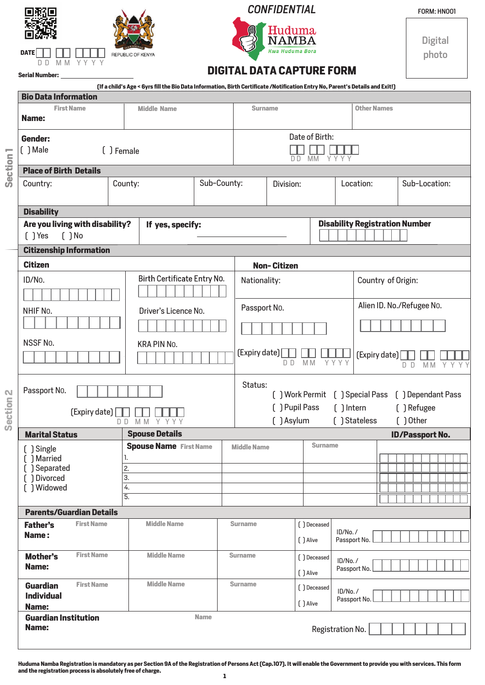| <b>CONFIDENTIAL</b>                                | <b>FORM: HN</b> |
|----------------------------------------------------|-----------------|
| Huduma<br>NAMBA                                    | gita            |
| <b>Kwa Huduma Bora</b><br><b>REPUBLIC OF KENYA</b> |                 |
|                                                    |                 |



## *CONFIDENTIAL*

FORM: HN001

Digital

**Serial Number:**

**Name:**

## **DIGITAL DATA CAPTURE FORM**

|         | [If a child's Age < 6yrs fill the Bio Data Information, Birth Certificate /Notification Entry No, Parent's Details and Exit!]<br><b>Bio Data Information</b> |                   |                                                                |                               |              |                                        |                                                                 |                           |                          |                    |                                       |                        |                |  |         |  |  |
|---------|--------------------------------------------------------------------------------------------------------------------------------------------------------------|-------------------|----------------------------------------------------------------|-------------------------------|--------------|----------------------------------------|-----------------------------------------------------------------|---------------------------|--------------------------|--------------------|---------------------------------------|------------------------|----------------|--|---------|--|--|
|         | <b>First Name</b>                                                                                                                                            |                   |                                                                | <b>Middle Name</b>            |              |                                        | <b>Surname</b>                                                  |                           |                          | <b>Other Names</b> |                                       |                        |                |  |         |  |  |
|         | Name:                                                                                                                                                        |                   |                                                                |                               |              |                                        |                                                                 |                           |                          |                    |                                       |                        |                |  |         |  |  |
|         | Gender:                                                                                                                                                      |                   |                                                                |                               |              |                                        |                                                                 | Date of Birth:            |                          |                    |                                       |                        |                |  |         |  |  |
| ÷       | [ ] Male<br>[ ] Female                                                                                                                                       |                   |                                                                |                               |              |                                        |                                                                 | MM<br>D D                 | Y Y Y Y                  |                    |                                       |                        |                |  |         |  |  |
| Section | <b>Place of Birth Details</b>                                                                                                                                |                   |                                                                |                               |              |                                        |                                                                 |                           |                          |                    |                                       |                        |                |  |         |  |  |
|         | Country:                                                                                                                                                     |                   | County:                                                        | Sub-County:                   |              |                                        | Division:                                                       |                           |                          | Location:          | Sub-Location:                         |                        |                |  |         |  |  |
|         |                                                                                                                                                              |                   |                                                                |                               |              |                                        |                                                                 |                           |                          |                    |                                       |                        |                |  |         |  |  |
|         | <b>Disability</b>                                                                                                                                            |                   |                                                                |                               |              |                                        |                                                                 |                           |                          |                    |                                       |                        |                |  |         |  |  |
|         | Are you living with disability?<br>$( )$ Yes                                                                                                                 | $[$ $]$ No        | If yes, specify:                                               |                               |              |                                        |                                                                 |                           |                          |                    | <b>Disability Registration Number</b> |                        |                |  |         |  |  |
|         | <b>Citizenship Information</b>                                                                                                                               |                   |                                                                |                               |              |                                        |                                                                 |                           |                          |                    |                                       |                        |                |  |         |  |  |
|         | <b>Citizen</b>                                                                                                                                               |                   |                                                                |                               |              |                                        | <b>Non-Citizen</b>                                              |                           |                          |                    |                                       |                        |                |  |         |  |  |
|         | ID/No.                                                                                                                                                       |                   |                                                                | Birth Certificate Entry No.   | Nationality: |                                        |                                                                 |                           |                          | Country of Origin: |                                       |                        |                |  |         |  |  |
|         |                                                                                                                                                              |                   |                                                                |                               |              |                                        |                                                                 |                           |                          |                    |                                       |                        |                |  |         |  |  |
|         | Driver's Licence No.<br>NHIF No.                                                                                                                             |                   |                                                                |                               |              | Passport No.                           |                                                                 | Alien ID. No./Refugee No. |                          |                    |                                       |                        |                |  |         |  |  |
|         |                                                                                                                                                              |                   |                                                                |                               |              |                                        |                                                                 |                           |                          |                    |                                       |                        |                |  |         |  |  |
|         | NSSF No.                                                                                                                                                     |                   |                                                                |                               |              |                                        |                                                                 |                           |                          |                    |                                       |                        |                |  |         |  |  |
|         | KRA PIN No.                                                                                                                                                  |                   |                                                                |                               |              | [Expiry date]<br>[Expiry date]<br>YYYY |                                                                 |                           |                          |                    |                                       |                        |                |  |         |  |  |
|         |                                                                                                                                                              |                   |                                                                |                               |              |                                        | D D                                                             | M M                       |                          |                    |                                       | D D                    | M <sub>M</sub> |  | Y Y Y Y |  |  |
| N       | Passport No.                                                                                                                                                 |                   | Status:<br>[ ] Work Permit [ ] Special Pass [ ] Dependant Pass |                               |              |                                        |                                                                 |                           |                          |                    |                                       |                        |                |  |         |  |  |
|         |                                                                                                                                                              |                   |                                                                |                               |              |                                        |                                                                 | [ ] Refugee               |                          |                    |                                       |                        |                |  |         |  |  |
| Section | [Expiry date]<br>MM Y Y Y Y<br>DD.                                                                                                                           |                   |                                                                |                               |              |                                        | [ ] Pupil Pass<br>$[$ $]$ Intern<br>[ ] Asylum<br>[ ] Stateless |                           |                          |                    |                                       |                        | $[ )$ Other    |  |         |  |  |
|         | <b>Marital Status</b>                                                                                                                                        |                   |                                                                | <b>Spouse Details</b>         |              |                                        |                                                                 |                           |                          |                    |                                       | <b>ID/Passport No.</b> |                |  |         |  |  |
|         | [ ] Single                                                                                                                                                   |                   |                                                                | <b>Spouse Name</b> First Name |              | <b>Middle Name</b>                     |                                                                 | <b>Surname</b>            |                          |                    |                                       |                        |                |  |         |  |  |
|         | [ ] Married<br>[ ] Separated                                                                                                                                 |                   | 2.                                                             |                               |              |                                        |                                                                 |                           |                          |                    |                                       |                        |                |  |         |  |  |
|         | [ ] Divorced                                                                                                                                                 |                   | 3.                                                             |                               |              |                                        |                                                                 |                           |                          |                    |                                       |                        |                |  |         |  |  |
|         | [ ] Widowed                                                                                                                                                  |                   | 4.<br>5.                                                       |                               |              |                                        |                                                                 |                           |                          |                    |                                       |                        |                |  |         |  |  |
|         |                                                                                                                                                              |                   |                                                                |                               |              |                                        |                                                                 |                           |                          |                    |                                       |                        |                |  |         |  |  |
|         | <b>Parents/Guardian Details</b><br><b>Father's</b>                                                                                                           | <b>First Name</b> |                                                                | <b>Middle Name</b>            |              | <b>Surname</b><br>[ ] Deceased         |                                                                 |                           |                          |                    |                                       |                        |                |  |         |  |  |
|         | Name:                                                                                                                                                        |                   |                                                                |                               |              |                                        |                                                                 | [ ] Alive                 | ID/No. /<br>Passport No. |                    |                                       |                        |                |  |         |  |  |
|         | <b>First Name</b><br><b>Mother's</b><br>Name:                                                                                                                |                   |                                                                | <b>Middle Name</b>            |              |                                        | <b>Surname</b><br>[ ] Deceased                                  |                           | ID/No./<br>Passport No.  |                    |                                       |                        |                |  |         |  |  |
|         |                                                                                                                                                              |                   |                                                                |                               | [ ] Alive    |                                        |                                                                 |                           |                          |                    |                                       |                        |                |  |         |  |  |
|         | <b>First Name</b><br><b>Guardian</b><br><b>Individual</b><br>Name:                                                                                           |                   |                                                                | <b>Middle Name</b>            |              | <b>Surname</b>                         |                                                                 | [ ] Deceased              | ID/No./                  |                    |                                       |                        |                |  |         |  |  |
|         |                                                                                                                                                              |                   |                                                                |                               | [ ] Alive    |                                        |                                                                 | Passport No.              |                          |                    |                                       |                        |                |  |         |  |  |
|         | <b>Guardian Institution</b>                                                                                                                                  |                   |                                                                |                               | <b>Name</b>  |                                        |                                                                 |                           |                          |                    |                                       |                        |                |  |         |  |  |

Registration No.